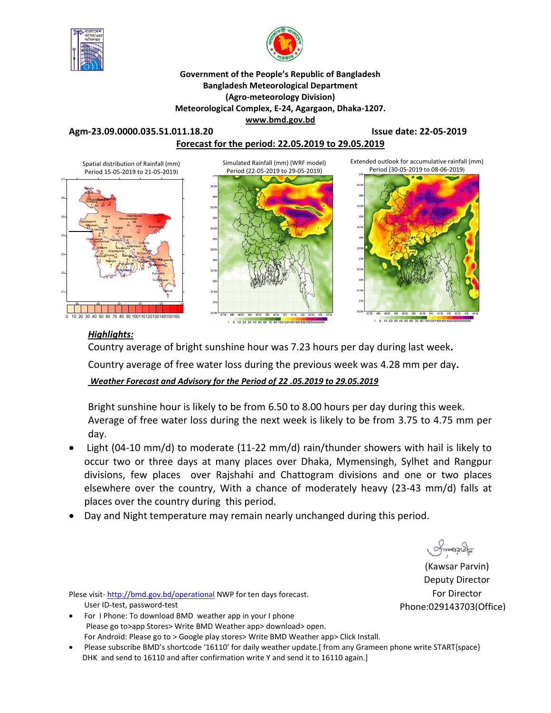



**Government of the People's Republic of Bangladesh Bangladesh Meteorological Department (Agro-meteorology Division) Meteorological Complex, E-24, Agargaon, Dhaka-1207. www.bmd.gov.bd** 

**Agm-23.09.0000.035.51.011.18.20 Issue date: 22-05-2019**

**Forecast for the period: 22.05.2019 to 29.05.2019**



## *Highlights:*

Country average of bright sunshine hour was 7.23 hours per day during last week**.**  Country average of free water loss during the previous week was 4.28 mm per day**.** 

*Weather Forecast and Advisory for the Period of 22 .05.2019 to 29.05.2019*

Bright sunshine hour is likely to be from 6.50 to 8.00 hours per day during this week. Average of free water loss during the next week is likely to be from 3.75 to 4.75 mm per day.

- Light (04-10 mm/d) to moderate (11-22 mm/d) rain/thunder showers with hail is likely to occur two or three days at many places over Dhaka, Mymensingh, Sylhet and Rangpur divisions, few places over Rajshahi and Chattogram divisions and one or two places elsewhere over the country, With a chance of moderately heavy (23-43 mm/d) falls at places over the country during this period.
- Day and Night temperature may remain nearly unchanged during this period.

Smange

(Kawsar Parvin) Deputy Director For Director Phone:029143703(Office)

Plese visit-http://bmd.gov.bd/operational NWP for ten days forecast. User ID-test, password-test

- For I Phone: To download BMD weather app in your I phone Please go to>app Stores> Write BMD Weather app> download> open. For Android: Please go to > Google play stores> Write BMD Weather app> Click Install.
- Please subscribe BMD's shortcode '16110' for daily weather update.[ from any Grameen phone write START{space} DHK and send to 16110 and after confirmation write Y and send it to 16110 again.]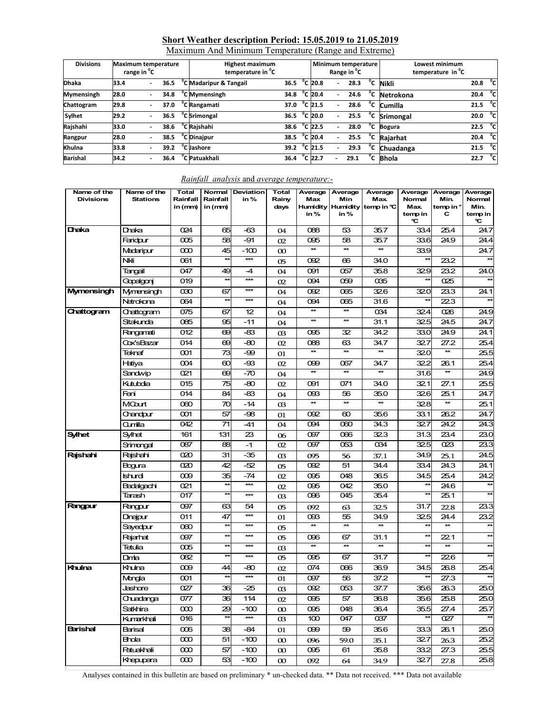# **Short Weather description Period: 15.05.2019 to 21.05.2019**

| Maximum And Minimum Temperature (Range and Extreme) |  |
|-----------------------------------------------------|--|
|                                                     |  |

| <b>Divisions</b> | <b>Maximum temperature</b><br>range in <sup>o</sup> C |      | <b>Highest maximum</b><br>temperature in <sup>o</sup> C |                        | Minimum temperature<br>Range in <sup>o</sup> C |                          |      |              | Lowest minimum<br>temperature in <sup>"</sup> C |                   |     |
|------------------|-------------------------------------------------------|------|---------------------------------------------------------|------------------------|------------------------------------------------|--------------------------|------|--------------|-------------------------------------------------|-------------------|-----|
| <b>Dhaka</b>     | 33.4                                                  | 36.5 | C Madaripur & Tangail                                   | 36.5                   | °C 20.8                                        |                          | 28.3 | °c           | <b>Nikli</b>                                    | 20.8              | °cl |
| Mymensingh       | 28.0                                                  | 34.8 | <sup>o</sup> C Mymensingh                               | 34.8                   | $^{\circ}$ C 20.4                              | $\overline{\phantom{0}}$ | 24.6 | °c           | Netrokona                                       | 20.4              | ு   |
| Chattogram       | 29.8                                                  | 37.0 | <sup>o</sup> C Rangamati                                | 37.0                   | $^{\circ}$ C 21.5                              | $\overline{\phantom{a}}$ | 28.6 |              | $\overline{C}$ Cumilla                          | 21.5              | °c∣ |
| Sylhet           | 29.2                                                  | 36.5 | <sup>o</sup> C Srimongal                                | 36.5 $^{\circ}$ C 20.0 |                                                |                          | 25.5 | °c           | <b>Srimongal</b>                                | 20.0              | ்cl |
| Rajshahi         | 33.0                                                  | 38.6 | <sup>o</sup> C Rajshahi                                 | 38.6                   | $^{\circ}$ C 22.5                              |                          | 28.0 | °c           | <b>Bogura</b>                                   | 22.5 $^{\circ}$ C |     |
| Rangpur          | 28.0                                                  | 38.5 | <sup>"</sup> C Dinajpur                                 | 38.5                   | $^{\circ}$ C 20.4                              | $\overline{a}$           | 25.5 | °c           | Raiarhat                                        | 20.4              | ිට  |
| Khulna           | 33.8                                                  | 39.2 | <sup>o</sup> C Jashore                                  | 39.2                   | °C 21.5                                        |                          | 29.3 | $^{\circ}$ c | Chuadanga                                       | 21.5              | °cl |
| <b>Barishal</b>  | 34.2                                                  | 36.4 | "C Patuakhali                                           | 36.4                   | $^{\circ}$ C 22.7                              |                          | 29.1 | °c           | <b>Bhola</b>                                    | 22.7              | °cl |

| Name of the<br><b>Divisions</b> | Name of the<br><b>Stations</b> | <b>Total</b><br>Rainfall<br>in (mm) | Rainfall<br>in (mm) | Normal Deviation<br>in% | <b>Total</b><br>Rainy<br>days | Average<br>Max<br>in %  | Average<br>Min<br>in% | Average<br>Max.<br>Humidity Humidity temp in ℃ | Average<br>Normal<br>Max.<br>temp in<br>℃ | Average<br>Min.<br>temp in $^{\circ}$<br>С | Average<br>Normal<br>Min.<br>temp in<br>℃ |
|---------------------------------|--------------------------------|-------------------------------------|---------------------|-------------------------|-------------------------------|-------------------------|-----------------------|------------------------------------------------|-------------------------------------------|--------------------------------------------|-------------------------------------------|
| Dhaka                           | Draka                          | 024                                 | 65                  | -63                     | 04                            | 088                     | 53                    | 35.7                                           | 33.4                                      | 25.4                                       | 24.7                                      |
|                                 | Faridpur                       | 005                                 | 58                  | -91                     | 02                            | 095                     | 58                    | 35.7                                           | 33.6                                      | 24.9                                       | 24.4                                      |
|                                 | Madaripur                      | $\infty$                            | 45                  | $-100$                  | $\infty$                      | $\ast$                  | $\ast$                | $\star\star$                                   | 33.9                                      |                                            | 24.7                                      |
|                                 | Nkli                           | 061                                 | $\star\star$        | $\star\star\star$       | 05                            | 092                     | 66                    | 34.0                                           |                                           | 23.2                                       |                                           |
|                                 | Tangail                        | 047                                 | 49                  | $-4$                    | 04                            | 091                     | 057                   | 35.8                                           | 329                                       | 23.2                                       | 24.0                                      |
|                                 | Gopalgonj                      | 019                                 | $\star\star$        | $***$                   | 02                            | 094                     | 059                   | 035                                            |                                           | 025                                        |                                           |
| Mymensingh                      | Mymensingh                     | $\infty$                            | 67                  | ***                     | 04                            | 092                     | 065                   | 326                                            | 320                                       | 23.3                                       | 24.1                                      |
|                                 | Netrokona                      | 064                                 | $\star\star$        | ***                     | 04                            | 094                     | 065                   | 31.6                                           | $\star\star$                              | 223                                        |                                           |
| Chattogram                      | Chattogram                     | 075                                 | 67                  | 12                      | 04                            | $\star\star$            | $\star\star$          | 034                                            | 324                                       | 026                                        | 24.9                                      |
|                                 | Sitakunda                      | 085                                 | 95                  | $-11$                   | 04                            | $\star\star$            | $\star\star$          | 31.1                                           | 325                                       | 24.5                                       | 24.7                                      |
|                                 | Rangamati                      | 012                                 | 69                  | -83                     | 03                            | 095                     | 32                    | 34.2                                           | 33.0                                      | 24.9                                       | 24.1                                      |
|                                 | Cox'sBazar                     | 014                                 | 69                  | -80                     | 02                            | 088                     | 63                    | 34.7                                           | 327                                       | 27.2                                       | 25.4                                      |
|                                 | Teknaf                         | 001                                 | 73                  | -99                     | 01                            | $\star\star$            | $\star\star$          | $\star\star$                                   | 320                                       | $\star\star$                               | 25.5                                      |
|                                 | Hatiya                         | 004                                 | 60                  | -93                     | 02                            | 099                     | 067                   | 34.7                                           | 322                                       | 26.1                                       | 25.4                                      |
|                                 | Sandwip                        | 021                                 | 69                  | $-70$                   | 04                            | $\ast$                  | $\ast$                | <b>**</b>                                      | 31.6                                      | $\star\star$                               | 24.9                                      |
|                                 | Kutubdia                       | 015                                 | 75                  | -80                     | 02                            | 091                     | 071                   | 34.0                                           | 321                                       | 27.1                                       | 25.5                                      |
|                                 | Feni                           | 014                                 | 84                  | $-83$                   | 04                            | 093                     | 56                    | 35.0                                           | 326                                       | 25.1                                       | 24.7                                      |
|                                 | MCourt                         | 000                                 | 70                  | $-14$                   | $\alpha$                      | $\star\star$            | $\star\star$          | $\star\star$                                   | 32.8                                      | $\star\star$                               | 25.1                                      |
|                                 | Chandpur                       | 001                                 | 57                  | -98                     | 01                            | 092                     | ഌ                     | 35.6                                           | 33.1                                      | 26.2                                       | 24.7                                      |
|                                 | Qumilla                        | 042                                 | 71                  | -41                     | 04                            | 094                     | 060                   | 34.3                                           | 327                                       | 24.2                                       | 24.3                                      |
| <b>Sylhet</b>                   | Sylhet                         | 161                                 | 131                 | 23                      | 06                            | 097                     | 066                   | 323                                            | 31.3                                      | 23.4                                       | 23.0                                      |
|                                 | Srimongal                      | 087                                 | 88                  | $-1$                    | 02                            | 097                     | 053                   | 034                                            | 325                                       | 023                                        | 23.3                                      |
| Rajshahi                        | Raishahi                       | 020                                 | 31                  | $-35$                   | 03                            | 095                     | 56                    | 37.1                                           | 34.9                                      | 25.1                                       | 24.5                                      |
|                                 | Bogura                         | 020                                 | 42                  | -52                     | 05                            | 092                     | 51                    | 34.4                                           | 33.4                                      | 24.3                                       | 24.1                                      |
|                                 | Ishurdi                        | 009                                 | 35                  | $-74$                   | 02                            | 095                     | 048                   | 36.5                                           | 34.5                                      | 25.4                                       | 24.2                                      |
|                                 | Badalgachi                     | 021                                 | $\star\star$        | $***$                   | 02                            | 095                     | 042                   | 35.0                                           | **                                        | 24.6                                       | $\star\star$                              |
|                                 | Tarash                         | 017                                 | $\star\star$        | ***                     | 03                            | 096                     | 045                   | 35.4                                           | $\star\star$                              | 25.1                                       |                                           |
| <b>Rangpur</b>                  | Rangpur                        | 097                                 | 63                  | 54                      | 05                            | 092                     | 63                    | 32.5                                           | 31.7                                      | 22.8                                       | 23.3                                      |
|                                 | Dinajpur                       | 011                                 | 47                  | ***                     | 01                            | œG                      | 55                    | 34.9                                           | 325                                       | 24.4                                       | 23.2                                      |
|                                 | Sayedpur                       | 000                                 | $\star\star$        | $***$                   | 05                            | <b>*</b>                | $\ast$                | $\star\star$                                   | ŧ                                         | $\star\star$                               |                                           |
|                                 | Rajarhat                       | 097                                 | $\star\star$        | ***                     | 05                            | 096                     | 67                    | 31.1                                           | $\star\star$                              | 221                                        |                                           |
|                                 | Tetulia                        | 005                                 | $\star\star$        | ***                     | 03                            | **                      | $\star\star$          | $\star\star$                                   | $\star\star$                              | $\star\star$                               |                                           |
|                                 | Dmia                           | $\overline{082}$                    | ¥                   | ***                     | 05                            | $\overline{\text{005}}$ | 67                    | 31.7                                           | ¥                                         | 226                                        |                                           |
| Khulna                          | Khulna                         | 009                                 | 44                  | -80                     | 02                            | 074                     | 066                   | 36.9                                           | 34.5                                      | 26.8                                       | 25.4                                      |
|                                 | Mongla                         | 001                                 | $\star\star$        | $***$                   | 01                            | 097                     | 56                    | 37.2                                           |                                           | 27.3                                       | $\star\star$                              |
|                                 | Jashore                        | 027                                 | 36                  | -25                     | O <sub>3</sub>                | 092                     | 053                   | 37.7                                           | 35.6                                      | 26.3                                       | 25.0                                      |
|                                 | Chuadanga                      | 077                                 | 36                  | 114                     | 02                            | 095                     | 57                    | 36.8                                           | 35.6                                      | 25.8                                       | 25.0                                      |
|                                 | Satkhira                       | $\infty$                            | 29                  | $-100$                  | $\infty$                      | 095                     | 048                   | 36.4                                           | 35.5                                      | 27.4                                       | 25.7                                      |
|                                 | Kumarkhali                     | 016                                 | 柒                   | ***                     | $\alpha$                      | 100 <sub>o</sub>        | 047                   | 037                                            | *                                         | 027                                        | $*$                                       |
| <b>Barishal</b>                 | Barisal                        | 006                                 | 38                  | -84                     | 01                            | 099                     | 59                    | 35.6                                           | 33.3                                      | 26.1                                       | 25.0                                      |
|                                 | Bhda                           | $\infty$                            | 51                  | $-100$                  | $\infty$                      | 096                     | 59.0                  | 35.1                                           | 327                                       | 26.3                                       | 25.2                                      |
|                                 | <b>Patuakhali</b>              | $\infty$                            | 57                  | $-100$                  | $\infty$                      | 095                     | 61                    | 35.8                                           | 33.2                                      | 27.3                                       | 25.5                                      |
|                                 | Khepupara                      | $\infty$                            | 53                  | $-100$                  | $\infty$                      | 092                     | 64                    | 34.9                                           | 327                                       | 27.8                                       | 25.8                                      |

#### *Rainfall analysis* and *average temperature:-*

Analyses contained in this bulletin are based on preliminary \* un-checked data. \*\* Data not received. \*\*\* Data not available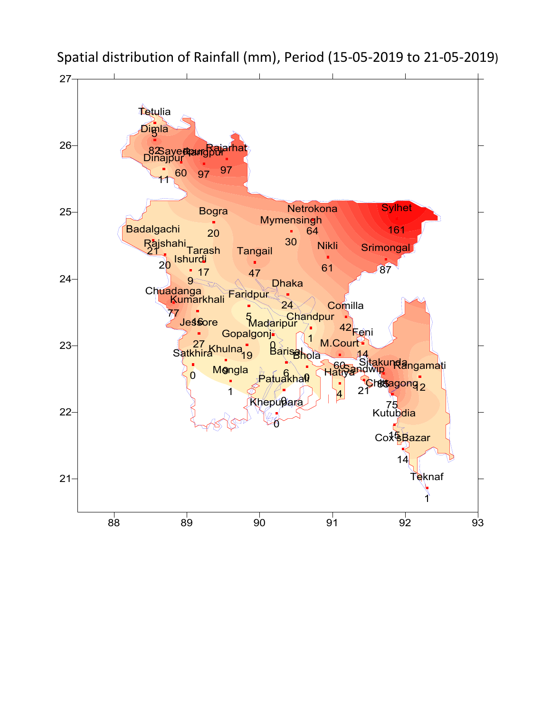

Spatial distribution of Rainfall (mm), Period (15-05-2019 to 21-05-2019)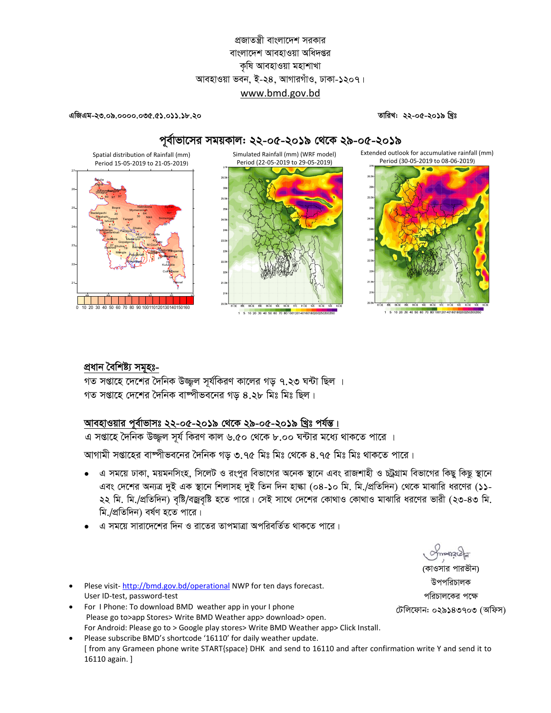# প্রজাতন্ত্রী বাংলাদেশ সরকার বাংলাদেশ আবহাওয়া অধিদপ্তর কষি আবহাওয়া মহাশাখা আবহাওয়া ভবন, ই-২৪, আগারগাঁও, ঢাকা-১২০৭। www.bmd.gov.bd

এজিএম-২৩.০৯.০০০০.০৩৫.৫১.০১১.১৮.২০

তারিখ: ২২-০৫-২০১৯ খ্রিঃ



### পূর্বাভাসের সময়কাল: ২২-০৫-২০১৯ থেকে ২৯-০৫-২০১৯

প্ৰধান বৈশিষ্ট্য সমূহঃ-

গত সপ্তাহে দেশের দৈনিক উজ্জল সূর্যকিরণ কালের গড় ৭.২৩ ঘন্টা ছিল । গত সপ্তাহে দেশের দৈনিক বাষ্পীভবনের গড় ৪.২৮ মিঃ মিঃ ছিল।

## আবহাওয়ার পূর্বাভাসঃ ২২-০৫-২০১৯ থেকে ২৯-০৫-২০১৯ খ্রিঃ পর্যন্ত।

এ সপ্তাহে দৈনিক উজ্জুল সূর্য কিরণ কাল ৬.৫০ থেকে ৮.০০ ঘন্টার মধ্যে থাকতে পারে ।

আগামী সপ্তাহের বাম্পীভবনের দৈনিক গড় ৩.৭৫ মিঃ মিঃ থেকে ৪.৭৫ মিঃ মিঃ থাকতে পারে।

- এ সময়ে ঢাকা, ময়মনসিংহ, সিলেট ও রংপুর বিভাগের অনেক স্থানে এবং রাজশাহী ও চট্টগ্রাম বিভাগের কিছু কিছু স্থানে এবং দেশের অন্যত্র দুই এক স্থানে শিলাসহ দুই তিন দিন হাল্কা (০৪-১০ মি. মি./প্রতিদিন) থেকে মাঝারি ধরণের (১১-২২ মি. মি./প্রতিদিন) বৃষ্টি/বজ্রবৃষ্টি হতে পারে। সেই সাথে দেশের কোথাও কোথাও মাঝারি ধরণের ভারী (২৩-৪৩ মি. মি /প্রতিদিন) বর্ষণ হতে পারে।
- এ সময়ে সারাদেশের দিন ও রাতের তাপমাত্রা অপরিবর্তিত থাকতে পারে।
- Plese visit-http://bmd.gov.bd/operational NWP for ten days forecast. User ID-test, password-test
- For I Phone: To download BMD weather app in your I phone Please go to>app Stores> Write BMD Weather app> download> open. For Android: Please go to > Google play stores> Write BMD Weather app> Click Install.
- Please subscribe BMD's shortcode '16110' for daily weather update. [ from any Grameen phone write START{space} DHK and send to 16110 and after confirmation write Y and send it to 16110 again. ]

(কাওসার পারভীন) উপপরিচালক পরিচালকের পক্ষে

টেলিফোন: ০২৯১৪৩৭০৩ (অফিস)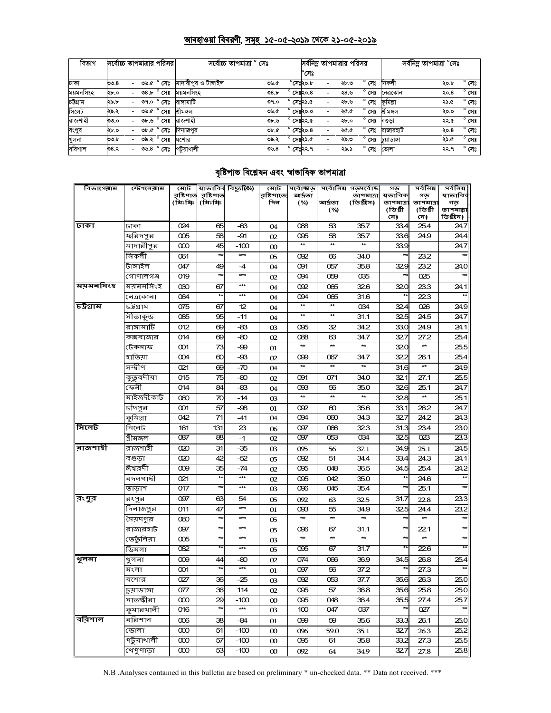# <u> আবহাওয়া বিবরণী, সমূহ ১৫-০৫-২০১৯ থেকে ২১-০৫-২০১৯</u>

| বিভাগ     | সর্বোচ্চ তাপমাত্রার পরিসর। |                          |  |                                  | সৰ্বোচ্চ তাপমাত্ৰা ° সেঃ |  |       |                    |                  | সর্বনিম্ন তাপমাত্রার পরিসর |      | সৰ্বনিম তাপমাত্ৰা °সেঃ |            |      |                |
|-----------|----------------------------|--------------------------|--|----------------------------------|--------------------------|--|-------|--------------------|------------------|----------------------------|------|------------------------|------------|------|----------------|
|           |                            |                          |  |                                  |                          |  |       |                    | $^{\circ}$ সেঃ   |                            |      |                        |            |      |                |
| ঢাকা      | 00.8                       |                          |  | ৩৬.৫ ° সেঃ                       | মাদারীপর ও টাঙ্গাইল      |  | ৩৬.৫  |                    | $^\circ$ সেঃ২০.৮ |                            | ২৮.৩ | $^{\circ}$ সেঃ         | নিকলী      | ২০.৮ | $^{\circ}$ সেঃ |
| ময়মনসিংহ | ২৮.০                       |                          |  | $\overline{08}$ ,৮ $\degree$ সেঃ | ময়মনসিংহ                |  | 08.5  | $^{\circ}$ সেঃ২০.৪ |                  |                            | ২৪.৬ | সেঃ                    | নেত্ৰকোনা  | २०.8 | $^{\circ}$ সেঃ |
| চউগ্ৰাম   | ২৯.৮                       |                          |  | ত৭.০ $^{\circ}$ সেঃ              | রাসামাটি                 |  | 09.0  | $^{\circ}$ সেঃ২১.৫ |                  |                            | ২৮.৬ | $^{\circ}$ সেঃ         | কুমিল্লা   | ২১.৫ | $^{\circ}$ সেঃ |
| সিলেট     | ২৯.২                       |                          |  | ৩৬.৫ ° সেঃ                       | শ্ৰীমঙ্গল                |  | ৩৬.৫  | $^{\circ}$ সেঃ২০.০ |                  |                            | ২৫.৫ | সেঃ                    | শ্ৰীমঙ্গল  | ২০.০ | $^{\circ}$ সেঃ |
| রাজশাহী   | ৩৩.০                       |                          |  | তচ.৬ $^{\circ}$ সেঃ              | রাজশাহী                  |  | ৩৮.৬  | $^{\circ}$ সেঃ২২.৫ |                  |                            | ২৮.০ | $^{\circ}$ সেঃ         | বণ্ডডা     | ২২.৫ | $^{\circ}$ সেঃ |
| রংপুর     | ২৮.০                       |                          |  | ৩৮.৫ ° সেঃ                       | দিনাজপুর                 |  | Ob. C | $^{\circ}$ সেঃ২০.৪ |                  |                            | ২৫.৫ | $^{\circ}$ সেঃ         | রাজারহাট   | २०.8 | $^{\circ}$ সেঃ |
| খুলনা     | ৩৩.৮                       |                          |  | ৩৯.২ ° সেঃ                       | যশোর                     |  | ৩৯.২  | $^{\circ}$ সেঃ২১.৫ |                  |                            | ২৯.৩ | $^{\circ}$ সেঃ         | চয়াডাঙ্গা | ২১.৫ | $^{\circ}$ সেঃ |
| বরিশাল    | 5.80                       | $\overline{\phantom{0}}$ |  | তড. $8^\circ$ সেঃ                | পটুয়াখালী               |  | ৩৬,৪  | $^{\circ}$ সেঃ২২.৭ |                  | $\overline{\phantom{0}}$   | ২৯.১ | $^{\circ}$ সেঃ         | ভোলা       | ২২.৭ | $^{\circ}$ সেঃ |

# <u>বৃষ্টিপাত বিশ্লেষন এবং স্বাভাবিক তাপমাত্ৰা</u>

| বিভাগেৰাম | স্টেশ <b>লেৰা</b> ম  | মোট                 |                       | স্বাভাবিৰ বিছ্যুষ্ঠি⁄) | মোট              | সৰ্বোজ্ঞত           | সৰ্বোনিম্ন         | গভদৰ্বোষ্ক             | গড                   | সৰ্বনিম্ন            | সৰ্বনিম্ন            |
|-----------|----------------------|---------------------|-----------------------|------------------------|------------------|---------------------|--------------------|------------------------|----------------------|----------------------|----------------------|
|           |                      | রষ্টিশাত<br>(মিঃমিঃ | রষ্টিপাত্ত<br>(মিঃমিঃ |                        | রষ্টিপাতে<br>দিন | আৰ্দ্ৰতা<br>(%)     | আৰ্দ্ৰতা           | তাপমাত্রা<br>(ডিগ্রীস) | ষভাবিক<br>তাপমাত্রা  | গড<br>তাপমাত্র       | ষাভাবিব<br>গড়       |
|           |                      |                     |                       |                        |                  |                     | (%)                |                        | (ডিগ্ৰী              | (ডিগ্ৰী              | তাপমায়া             |
|           |                      |                     |                       |                        |                  |                     |                    |                        | সে)                  | সে)                  | ডিগ্ৰীস)             |
| ঢাকা      | ঢাকা                 | 024                 | 65                    | -63                    | 04               | 088                 | 53                 | 35.7                   | 33.4                 | 25.4                 | 24.7                 |
|           | ফরিদপুর              | 005                 | 58                    | -91<br>-100            | 02               | 095<br>$\star\star$ | 58<br>$\star\star$ | 35.7<br>$\star\star$   | 33.6<br>33.9         | 24.9                 | 24.4                 |
|           | মাদারীপুর<br>নিকলী   | $\infty$<br>061     | 45<br>$\star$         | $***$                  | $\infty$         | 092                 |                    | 34.0                   | $\star\star$         | 23.2                 | 24.7                 |
|           | টাঙ্গাইল             | 047                 | 49                    | $-4$                   | 05               | 091                 | 66<br>057          | 35.8                   | 329                  | 23.2                 | 24.0                 |
|           | গোপালগঞ্জ            | 019                 | $\star$               | $\star\star\star$      | 04<br>02         | 094                 | 059                | 035                    | $\star\star$         | 025                  |                      |
| ময়মনসিংহ | ময়মনসিংহ            | 030                 | 67                    | $\star\star\star$      | 04               | 092                 | 065                | 326                    | 320                  | 233                  | 24.1                 |
|           | নেত্ৰকোনা            | 064                 | $\star\star$          | $\star\star\star$      | 04               | 094                 | 065                | 31.6                   | $\star\star$         | 223                  |                      |
| চউগ্ৰাম   | চউগ্রাম              | 075                 | 67                    | 12                     | 04               |                     |                    | 034                    | 324                  | 026                  | 24.9                 |
|           | সীতাকুন্ড            | 085                 | 95                    | $-11$                  | 04               | $\star\star$        | $\star\star$       | 31.1                   | 325                  | 24.5                 | 24.7                 |
|           | রাঙ্গামাটি           | 012                 | 69                    | -83                    | œ                | 095                 | 32                 | 34.2                   | 33.0                 | 24.9                 | 24.1                 |
|           | কক্সবাজার            | 014                 | 69                    | -80                    | 02               | 088                 | 63                 | 34.7                   | 32.7                 | 27.2                 | 25.4                 |
|           | টেকনাফ               | 001                 | 73                    | -99                    | 01               |                     | $\star\star$       | $\star\star$           | 320                  |                      | 25.5                 |
|           | হাতিয়া              | 004                 | 60                    | -93                    | 02               | 099                 | 067                | 34.7                   | 32.2                 | 26.1                 | 25.4                 |
|           | সন্দ্বীপ             | 021                 | 69                    | -70                    | 04               | $\star\star$        | $\star\star$       | $\star\star$           | 31.6                 | $\star\star$         | 24.9                 |
|           | কুত্নবদীয়া          | 015                 | 75                    | -80                    | 02               | 091                 | 071                | 34.0                   | 321                  | 27.1                 | 25.5                 |
|           | ফেৰী                 | 014                 | 84                    | -83                    | 04               | œз                  | 56                 | 35.0                   | 326                  | 25.1                 | 24.7                 |
|           | মাইজদীকাৰ্ট          | 060                 | 70                    | -14                    | œ                | $\star\star$        | $\star\star$       | $\star\star$           | 328                  | $\star\star$         | 25.1                 |
|           | চাঁদপুর              | 001                 | 57                    | -98                    | 01               | 092                 | 60                 | 35.6                   | 33.1                 | 26.2                 | 24.7                 |
|           | —<br>कूभिल्ला        | 042                 | 71                    | -41                    | 04               | 094                 | 060                | 34.3                   | 327                  | 24.2                 | 24.3                 |
| সিলেট     | সিলেট                | 161                 | 131                   | 23                     | 06               | 097                 | 066                | 323                    | 31.3                 | 23.4                 | 23.0                 |
|           | শ্ৰীমঙ্গল            | 087                 | 88                    | $-1$                   | 02               | 097                 | 053                | 034                    | 325                  | 023                  | 23.3                 |
| রাজশাহী   | রাজশাহী              | 020                 | 31                    | $-35$                  | 03               | 095                 | 56                 | 37.1                   | 34.9                 | 25.1                 | 24.5                 |
|           | বগুড়া               | 020                 | 42                    | -52                    | 05               | 092                 | 51                 | 34.4                   | 33.4                 | 24.3                 | 24.1                 |
|           | ঈশ্বরদী              | 009                 | 35                    | -74<br>$***$           | 02               | 095                 | 048                | 36.5                   | 34.5                 | 25.4                 | 24.2<br>$\star\star$ |
|           | বদলগাছী              | 021                 | ŧ                     | $\star\star\star$      | 02               | 095                 | 042                | 35.0                   | $\star\star$<br>¥    | 24.6                 | $\star\star$         |
|           | তাডাশ                | 017                 |                       |                        | œ                | 096                 | 045                | 35.4                   |                      | 25.1                 |                      |
| রংপুর     | রংপুর                | 097                 | 63                    | 54<br>***              | 05               | 092                 | 63                 | 32.5                   | 31.7                 | 22.8                 | 23.3                 |
|           | দিনাজপুর<br>মৈয়দপুর | 011                 | 47<br>×               | $\star\star\star$      | 01               | 093<br>$\star\star$ | 55<br>$\star\star$ | 34.9<br>$\star\star$   | 32.5<br>$\star\star$ | 24.4<br>$\star\star$ | 23.2<br>$\star\star$ |
|           | রাজারহাট             | 060<br>097          | $\star$               | ***                    | 05               | 096                 | 67                 | 31.1                   | $\star\star$         | 221                  | $\star\star$         |
|           | ভের্তুলিয়া          | 005                 | *                     | ***                    | 05<br>œ          | $\star\star$        | $\star\star$       | $\star\star$           | $\star\star$         | $\star\star$         | $\star\star$         |
|           | ডিমলা                | 082                 |                       | $\star\star\star$      | 05               | 095                 | 67                 | 31.7                   | ¥                    | 226                  |                      |
| থুলনা     | খুলনা                | 009                 | 44                    | -80                    | 02               | 074                 | 066                | 36.9                   | 34.5                 | 26.8                 | 25.4                 |
|           | মংলা                 | 001                 | $\star$               | $\star\star\star$      | 01               | 097                 | 56                 | 37.2                   | $\star\star$         | 27.3                 | $\star\star$         |
|           | যশোর                 | 027                 | 36                    | $-25$                  | 03               | 092                 | 053                | 37.7                   | 35.6                 | 26.3                 | 25.0                 |
|           | চুয়াডাঙ্গা          | 077                 | 36                    | 114                    | 02               | 095                 | 57                 | 36.8                   | 35.6                 | 25.8                 | 25.0                 |
|           | সাতক্ষীরা            | $\infty$            | 29                    | $-100$                 | $\infty$         | 095                 | 048                | 36.4                   | 35.5                 | 27.4                 | 25.7                 |
|           | কুমারখালী            | 016                 | **                    | ***                    | 03               | 100                 | 047                | 037                    | **                   | 027                  |                      |
| ববিশাল    | বরিশাল               | $\infty$            | 38                    | -84                    | 01               | 099                 | 59                 | 35.6                   | 33.3                 | 26.1                 | 25.0                 |
|           | ভোলা                 | $\infty$            | 51                    | $-100$                 | $\infty$         | 096                 | 59.0               | 35.1                   | 327                  | 26.3                 | 25.2                 |
|           | পটুয়াখালী           | $\infty$            | 57                    | $-100$                 | $\infty$         | 095                 | 61                 | 35.8                   | 33.2                 | 27.3                 | 25.5                 |
|           | খেপুপাড়া            | $\infty$            | 53                    | $-100$                 | $\infty$         | 092                 | 64                 | 34.9                   | 327                  | 27.8                 | 25.8                 |

N.B .Analyses contained in this bulletin are based on preliminary \* un-checked data. \*\* Data not received. \*\*\*